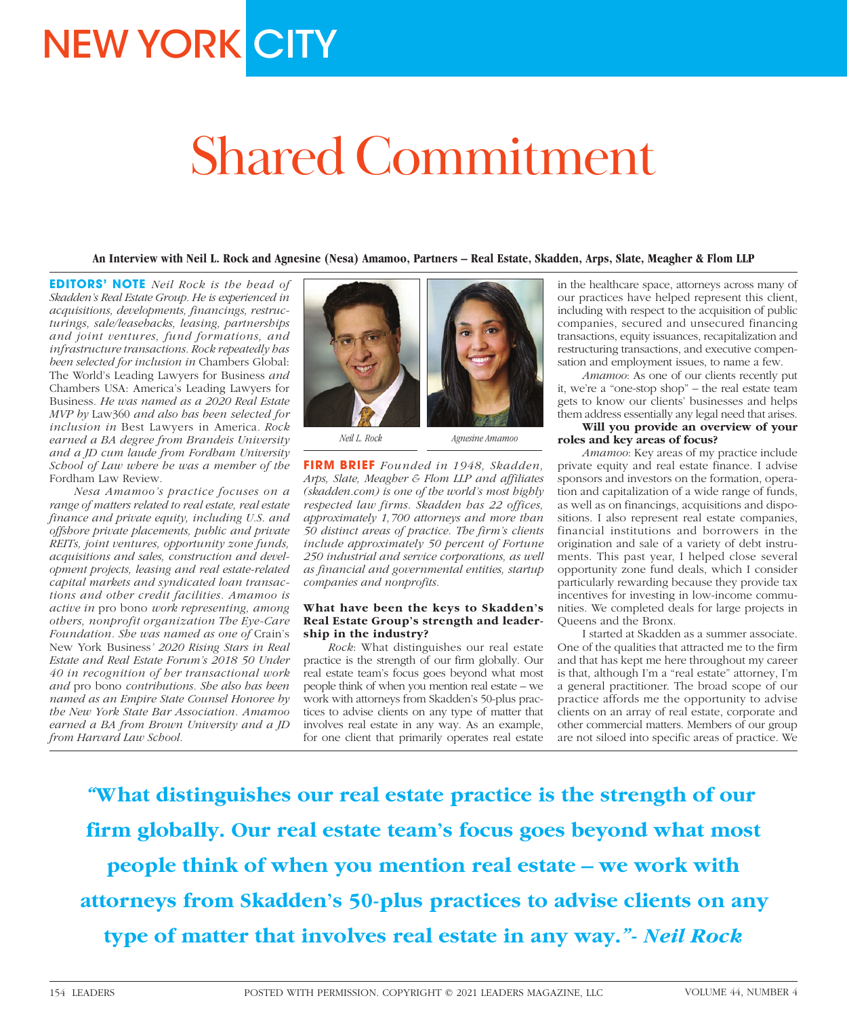# **NEW YORK CITY**

# Shared Commitment

**An Interview with Neil L. Rock and Agnesine (Nesa) Amamoo, Partners – Real Estate, Skadden, Arps, Slate, Meagher & Flom LLP**

**EDITORS' NOTE** *Neil Rock is the head of Skadden's Real Estate Group. He is experienced in acquisitions, developments, financings, restructurings, sale/leasebacks, leasing, partnerships and joint ventures, fund formations, and infrastructure transactions. Rock repeatedly has been selected for inclusion in* Chambers Global: The World's Leading Lawyers for Business *and*  Chambers USA: America's Leading Lawyers for Business*. He was named as a 2020 Real Estate MVP by* Law360 *and also has been selected for inclusion in* Best Lawyers in America*. Rock earned a BA degree from Brandeis University and a JD cum laude from Fordham University School of Law where he was a member of the*  Fordham Law Review*.*

*Nesa Amamoo's practice focuses on a range of matters related to real estate, real estate finance and private equity, including U.S. and offshore private placements, public and private REITs, joint ventures, opportunity zone funds, acquisitions and sales, construction and development projects, leasing and real estate-related capital markets and syndicated loan transactions and other credit facilities. Amamoo is active in* pro bono *work representing, among others, nonprofit organization The Eye-Care Foundation. She was named as one of* Crain's New York Business*' 2020 Rising Stars in Real Estate and Real Estate Forum's 2018 50 Under 40 in recognition of her transactional work and* pro bono *contributions. She also has been named as an Empire State Counsel Honoree by the New York State Bar Association. Amamoo earned a BA from Brown University and a JD from Harvard Law School.*



*Neil L. Rock*

*Agnesine Amamoo*

**FIRM BRIEF** *Founded in 1948, Skadden, Arps, Slate, Meagher & Flom LLP and affiliates (skadden.com) is one of the world's most highly respected law firms. Skadden has 22 offices, approximately 1,700 attorneys and more than 50 distinct areas of practice. The firm's clients include approximately 50 percent of Fortune 250 industrial and service corporations, as well as financial and governmental entities, startup companies and nonprofits.*

### **What have been the keys to Skadden's Real Estate Group's strength and leadership in the industry?**

*Rock*: What distinguishes our real estate practice is the strength of our firm globally. Our real estate team's focus goes beyond what most people think of when you mention real estate – we work with attorneys from Skadden's 50-plus practices to advise clients on any type of matter that involves real estate in any way. As an example, for one client that primarily operates real estate

in the healthcare space, attorneys across many of our practices have helped represent this client, including with respect to the acquisition of public companies, secured and unsecured financing transactions, equity issuances, recapitalization and restructuring transactions, and executive compensation and employment issues, to name a few.

*Amamoo*: As one of our clients recently put it, we're a "one-stop shop" – the real estate team gets to know our clients' businesses and helps them address essentially any legal need that arises.

# **Will you provide an overview of your roles and key areas of focus?**

*Amamoo*: Key areas of my practice include private equity and real estate finance. I advise sponsors and investors on the formation, operation and capitalization of a wide range of funds, as well as on financings, acquisitions and dispositions. I also represent real estate companies, financial institutions and borrowers in the origination and sale of a variety of debt instruments. This past year, I helped close several opportunity zone fund deals, which I consider particularly rewarding because they provide tax incentives for investing in low-income communities. We completed deals for large projects in Queens and the Bronx.

I started at Skadden as a summer associate. One of the qualities that attracted me to the firm and that has kept me here throughout my career is that, although I'm a "real estate" attorney, I'm a general practitioner. The broad scope of our practice affords me the opportunity to advise clients on an array of real estate, corporate and other commercial matters. Members of our group are not siloed into specific areas of practice. We

*"***What distinguishes our real estate practice is the strength of our firm globally. Our real estate team's focus goes beyond what most people think of when you mention real estate – we work with attorneys from Skadden's 50-plus practices to advise clients on any type of matter that involves real estate in any way.***"- Neil Rock*